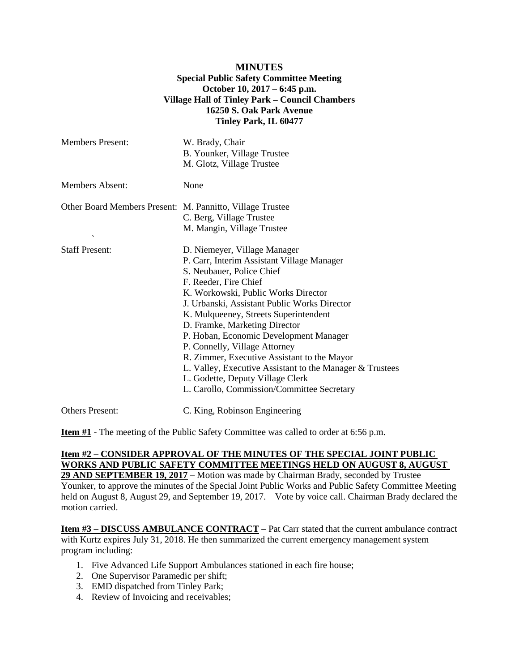### **MINUTES Special Public Safety Committee Meeting October 10, 2017 – 6:45 p.m. Village Hall of Tinley Park – Council Chambers 16250 S. Oak Park Avenue Tinley Park, IL 60477**

| <b>Members Present:</b>                                                            | W. Brady, Chair<br>B. Younker, Village Trustee<br>M. Glotz, Village Trustee                                                                                                                                                                                                                                                                                                                                                                                                                                                                                               |
|------------------------------------------------------------------------------------|---------------------------------------------------------------------------------------------------------------------------------------------------------------------------------------------------------------------------------------------------------------------------------------------------------------------------------------------------------------------------------------------------------------------------------------------------------------------------------------------------------------------------------------------------------------------------|
| <b>Members Absent:</b>                                                             | None                                                                                                                                                                                                                                                                                                                                                                                                                                                                                                                                                                      |
| Other Board Members Present: M. Pannitto, Village Trustee<br>$\tilde{\phantom{a}}$ | C. Berg, Village Trustee<br>M. Mangin, Village Trustee                                                                                                                                                                                                                                                                                                                                                                                                                                                                                                                    |
| <b>Staff Present:</b>                                                              | D. Niemeyer, Village Manager<br>P. Carr, Interim Assistant Village Manager<br>S. Neubauer, Police Chief<br>F. Reeder, Fire Chief<br>K. Workowski, Public Works Director<br>J. Urbanski, Assistant Public Works Director<br>K. Mulqueeney, Streets Superintendent<br>D. Framke, Marketing Director<br>P. Hoban, Economic Development Manager<br>P. Connelly, Village Attorney<br>R. Zimmer, Executive Assistant to the Mayor<br>L. Valley, Executive Assistant to the Manager & Trustees<br>L. Godette, Deputy Village Clerk<br>L. Carollo, Commission/Committee Secretary |
| <b>Others Present:</b>                                                             | C. King, Robinson Engineering                                                                                                                                                                                                                                                                                                                                                                                                                                                                                                                                             |

**Item #1** - The meeting of the Public Safety Committee was called to order at 6:56 p.m.

# **Item #2 – CONSIDER APPROVAL OF THE MINUTES OF THE SPECIAL JOINT PUBLIC WORKS AND PUBLIC SAFETY COMMITTEE MEETINGS HELD ON AUGUST 8, AUGUST**

**29 AND SEPTEMBER 19, 2017 –** Motion was made by Chairman Brady, seconded by Trustee Younker, to approve the minutes of the Special Joint Public Works and Public Safety Committee Meeting held on August 8, August 29, and September 19, 2017. Vote by voice call. Chairman Brady declared the motion carried.

**Item #3 – DISCUSS AMBULANCE CONTRACT –** Pat Carr stated that the current ambulance contract with Kurtz expires July 31, 2018. He then summarized the current emergency management system program including:

- 1. Five Advanced Life Support Ambulances stationed in each fire house;
- 2. One Supervisor Paramedic per shift;
- 3. EMD dispatched from Tinley Park;
- 4. Review of Invoicing and receivables;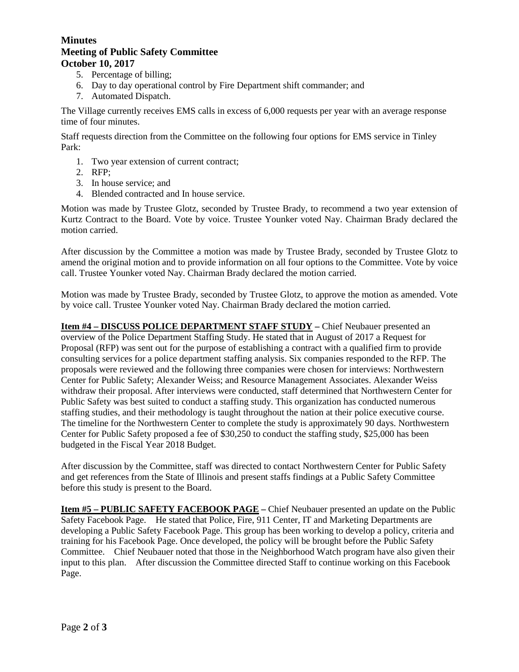### **Minutes Meeting of Public Safety Committee October 10, 2017**

- 5. Percentage of billing;
- 6. Day to day operational control by Fire Department shift commander; and
- 7. Automated Dispatch.

The Village currently receives EMS calls in excess of 6,000 requests per year with an average response time of four minutes.

Staff requests direction from the Committee on the following four options for EMS service in Tinley Park:

- 1. Two year extension of current contract;
- 2. RFP;
- 3. In house service; and
- 4. Blended contracted and In house service.

Motion was made by Trustee Glotz, seconded by Trustee Brady, to recommend a two year extension of Kurtz Contract to the Board. Vote by voice. Trustee Younker voted Nay. Chairman Brady declared the motion carried.

After discussion by the Committee a motion was made by Trustee Brady, seconded by Trustee Glotz to amend the original motion and to provide information on all four options to the Committee. Vote by voice call. Trustee Younker voted Nay. Chairman Brady declared the motion carried.

Motion was made by Trustee Brady, seconded by Trustee Glotz, to approve the motion as amended. Vote by voice call. Trustee Younker voted Nay. Chairman Brady declared the motion carried.

**Item #4 – DISCUSS POLICE DEPARTMENT STAFF STUDY –** Chief Neubauer presented an overview of the Police Department Staffing Study. He stated that in August of 2017 a Request for Proposal (RFP) was sent out for the purpose of establishing a contract with a qualified firm to provide consulting services for a police department staffing analysis. Six companies responded to the RFP. The proposals were reviewed and the following three companies were chosen for interviews: Northwestern Center for Public Safety; Alexander Weiss; and Resource Management Associates. Alexander Weiss withdraw their proposal. After interviews were conducted, staff determined that Northwestern Center for Public Safety was best suited to conduct a staffing study. This organization has conducted numerous staffing studies, and their methodology is taught throughout the nation at their police executive course. The timeline for the Northwestern Center to complete the study is approximately 90 days. Northwestern Center for Public Safety proposed a fee of \$30,250 to conduct the staffing study, \$25,000 has been budgeted in the Fiscal Year 2018 Budget.

After discussion by the Committee, staff was directed to contact Northwestern Center for Public Safety and get references from the State of Illinois and present staffs findings at a Public Safety Committee before this study is present to the Board.

**Item #5 – PUBLIC SAFETY FACEBOOK PAGE –** Chief Neubauer presented an update on the Public Safety Facebook Page. He stated that Police, Fire, 911 Center, IT and Marketing Departments are developing a Public Safety Facebook Page. This group has been working to develop a policy, criteria and training for his Facebook Page. Once developed, the policy will be brought before the Public Safety Committee. Chief Neubauer noted that those in the Neighborhood Watch program have also given their input to this plan. After discussion the Committee directed Staff to continue working on this Facebook Page.